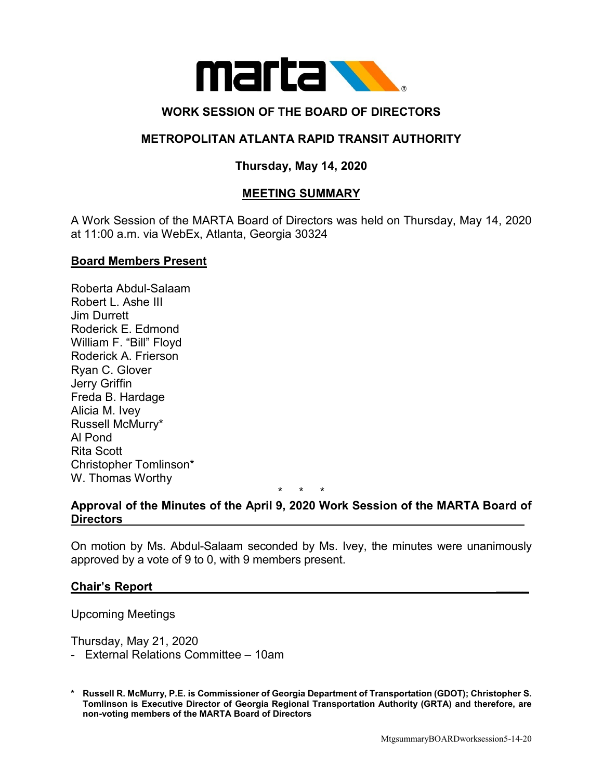

# **WORK SESSION OF THE BOARD OF DIRECTORS**

## **METROPOLITAN ATLANTA RAPID TRANSIT AUTHORITY**

# **Thursday, May 14, 2020**

## **MEETING SUMMARY**

A Work Session of the MARTA Board of Directors was held on Thursday, May 14, 2020 at 11:00 a.m. via WebEx, Atlanta, Georgia 30324

#### **Board Members Present**

Roberta Abdul-Salaam Robert L. Ashe III Jim Durrett Roderick E. Edmond William F. "Bill" Floyd Roderick A. Frierson Ryan C. Glover Jerry Griffin Freda B. Hardage Alicia M. Ivey Russell McMurry\* Al Pond Rita Scott Christopher Tomlinson\* W. Thomas Worthy

\* \* \*

### **Approval of the Minutes of the April 9, 2020 Work Session of the MARTA Board of Directors**

On motion by Ms. Abdul-Salaam seconded by Ms. Ivey, the minutes were unanimously approved by a vote of 9 to 0, with 9 members present.

#### **Chair's Report \_\_\_\_\_**

Upcoming Meetings

Thursday, May 21, 2020

- External Relations Committee 10am
- **\* Russell R. McMurry, P.E. is Commissioner of Georgia Department of Transportation (GDOT); Christopher S. Tomlinson is Executive Director of Georgia Regional Transportation Authority (GRTA) and therefore, are non-voting members of the MARTA Board of Directors**